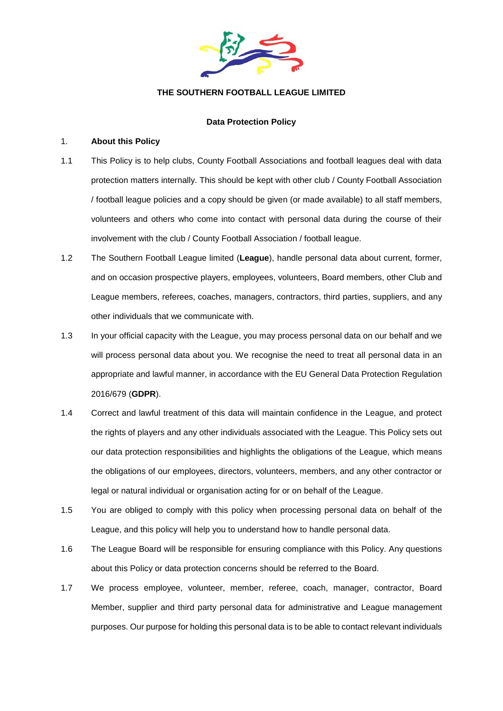

### **THE SOUTHERN FOOTBALL LEAGUE LIMITED**

### **Data Protection Policy**

#### 1. **About this Policy**

- 1.1 This Policy is to help clubs, County Football Associations and football leagues deal with data protection matters internally. This should be kept with other club / County Football Association / football league policies and a copy should be given (or made available) to all staff members, volunteers and others who come into contact with personal data during the course of their involvement with the club / County Football Association / football league.
- 1.2 The Southern Football League limited (**League**), handle personal data about current, former, and on occasion prospective players, employees, volunteers, Board members, other Club and League members, referees, coaches, managers, contractors, third parties, suppliers, and any other individuals that we communicate with.
- 1.3 In your official capacity with the League, you may process personal data on our behalf and we will process personal data about you. We recognise the need to treat all personal data in an appropriate and lawful manner, in accordance with the EU General Data Protection Regulation 2016/679 (**GDPR**).
- 1.4 Correct and lawful treatment of this data will maintain confidence in the League, and protect the rights of players and any other individuals associated with the League. This Policy sets out our data protection responsibilities and highlights the obligations of the League, which means the obligations of our employees, directors, volunteers, members, and any other contractor or legal or natural individual or organisation acting for or on behalf of the League.
- 1.5 You are obliged to comply with this policy when processing personal data on behalf of the League, and this policy will help you to understand how to handle personal data.
- 1.6 The League Board will be responsible for ensuring compliance with this Policy. Any questions about this Policy or data protection concerns should be referred to the Board.
- 1.7 We process employee, volunteer, member, referee, coach, manager, contractor, Board Member, supplier and third party personal data for administrative and League management purposes. Our purpose for holding this personal data is to be able to contact relevant individuals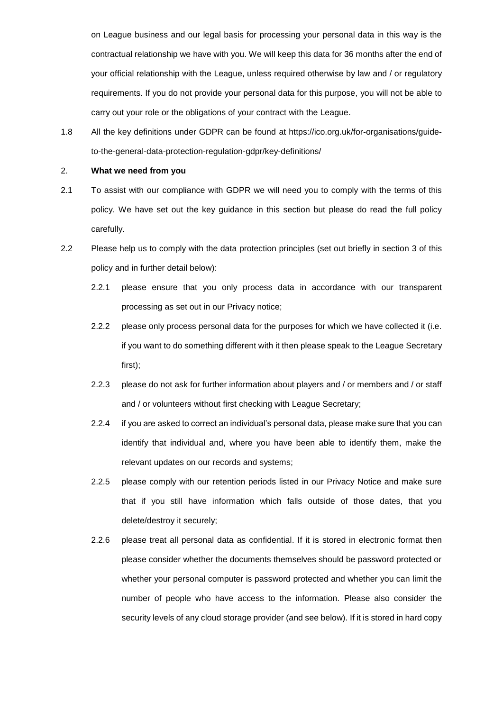on League business and our legal basis for processing your personal data in this way is the contractual relationship we have with you. We will keep this data for 36 months after the end of your official relationship with the League, unless required otherwise by law and / or regulatory requirements. If you do not provide your personal data for this purpose, you will not be able to carry out your role or the obligations of your contract with the League.

1.8 All the key definitions under GDPR can be found at https://ico.org.uk/for-organisations/guideto-the-general-data-protection-regulation-gdpr/key-definitions/

#### 2. **What we need from you**

- 2.1 To assist with our compliance with GDPR we will need you to comply with the terms of this policy. We have set out the key guidance in this section but please do read the full policy carefully.
- 2.2 Please help us to comply with the data protection principles (set out briefly in section [3](#page-2-0) of this policy and in further detail below):
	- 2.2.1 please ensure that you only process data in accordance with our transparent processing as set out in our Privacy notice;
	- 2.2.2 please only process personal data for the purposes for which we have collected it (i.e. if you want to do something different with it then please speak to the League Secretary first);
	- 2.2.3 please do not ask for further information about players and / or members and / or staff and / or volunteers without first checking with League Secretary;
	- 2.2.4 if you are asked to correct an individual's personal data, please make sure that you can identify that individual and, where you have been able to identify them, make the relevant updates on our records and systems;
	- 2.2.5 please comply with our retention periods listed in our Privacy Notice and make sure that if you still have information which falls outside of those dates, that you delete/destroy it securely;
	- 2.2.6 please treat all personal data as confidential. If it is stored in electronic format then please consider whether the documents themselves should be password protected or whether your personal computer is password protected and whether you can limit the number of people who have access to the information. Please also consider the security levels of any cloud storage provider (and see below). If it is stored in hard copy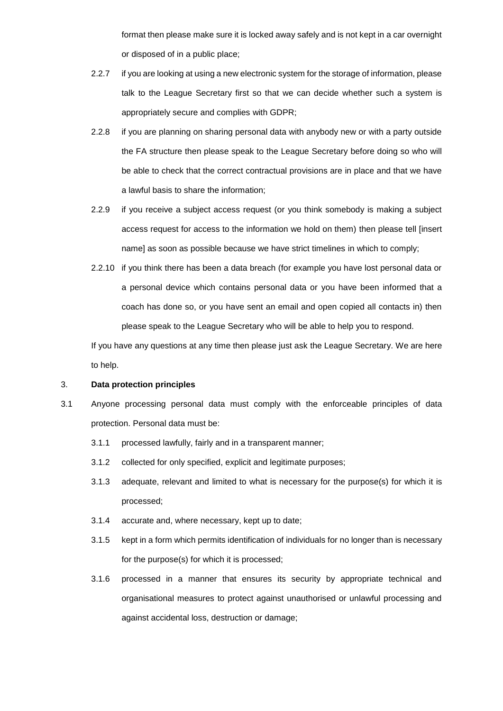format then please make sure it is locked away safely and is not kept in a car overnight or disposed of in a public place;

- 2.2.7 if you are looking at using a new electronic system for the storage of information, please talk to the League Secretary first so that we can decide whether such a system is appropriately secure and complies with GDPR;
- 2.2.8 if you are planning on sharing personal data with anybody new or with a party outside the FA structure then please speak to the League Secretary before doing so who will be able to check that the correct contractual provisions are in place and that we have a lawful basis to share the information;
- 2.2.9 if you receive a subject access request (or you think somebody is making a subject access request for access to the information we hold on them) then please tell [insert name] as soon as possible because we have strict timelines in which to comply;
- 2.2.10 if you think there has been a data breach (for example you have lost personal data or a personal device which contains personal data or you have been informed that a coach has done so, or you have sent an email and open copied all contacts in) then please speak to the League Secretary who will be able to help you to respond.

If you have any questions at any time then please just ask the League Secretary. We are here to help.

# <span id="page-2-0"></span>3. **Data protection principles**

- 3.1 Anyone processing personal data must comply with the enforceable principles of data protection. Personal data must be:
	- 3.1.1 processed lawfully, fairly and in a transparent manner;
	- 3.1.2 collected for only specified, explicit and legitimate purposes;
	- 3.1.3 adequate, relevant and limited to what is necessary for the purpose(s) for which it is processed;
	- 3.1.4 accurate and, where necessary, kept up to date;
	- 3.1.5 kept in a form which permits identification of individuals for no longer than is necessary for the purpose(s) for which it is processed;
	- 3.1.6 processed in a manner that ensures its security by appropriate technical and organisational measures to protect against unauthorised or unlawful processing and against accidental loss, destruction or damage;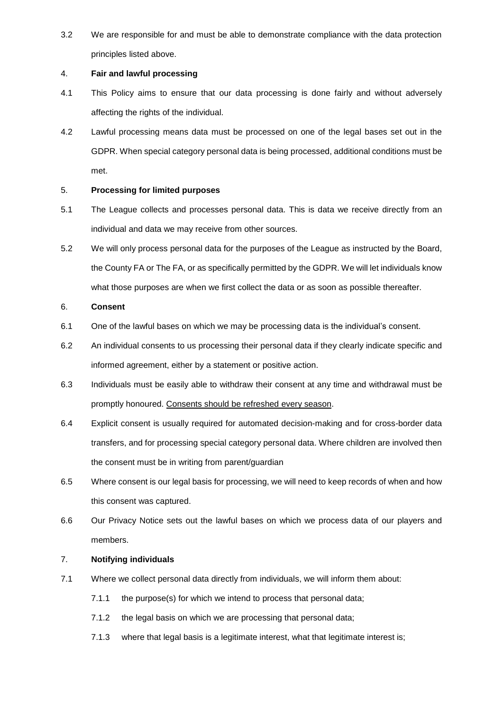3.2 We are responsible for and must be able to demonstrate compliance with the data protection principles listed above.

# 4. **Fair and lawful processing**

- 4.1 This Policy aims to ensure that our data processing is done fairly and without adversely affecting the rights of the individual.
- 4.2 Lawful processing means data must be processed on one of the legal bases set out in the GDPR. When special category personal data is being processed, additional conditions must be met.

## 5. **Processing for limited purposes**

- 5.1 The League collects and processes personal data. This is data we receive directly from an individual and data we may receive from other sources.
- 5.2 We will only process personal data for the purposes of the League as instructed by the Board, the County FA or The FA, or as specifically permitted by the GDPR. We will let individuals know what those purposes are when we first collect the data or as soon as possible thereafter.

### 6. **Consent**

- 6.1 One of the lawful bases on which we may be processing data is the individual's consent.
- 6.2 An individual consents to us processing their personal data if they clearly indicate specific and informed agreement, either by a statement or positive action.
- 6.3 Individuals must be easily able to withdraw their consent at any time and withdrawal must be promptly honoured. Consents should be refreshed every season.
- 6.4 Explicit consent is usually required for automated decision-making and for cross-border data transfers, and for processing special category personal data. Where children are involved then the consent must be in writing from parent/guardian
- 6.5 Where consent is our legal basis for processing, we will need to keep records of when and how this consent was captured.
- 6.6 Our Privacy Notice sets out the lawful bases on which we process data of our players and members.

# 7. **Notifying individuals**

- 7.1 Where we collect personal data directly from individuals, we will inform them about:
	- 7.1.1 the purpose(s) for which we intend to process that personal data;
	- 7.1.2 the legal basis on which we are processing that personal data;
	- 7.1.3 where that legal basis is a legitimate interest, what that legitimate interest is;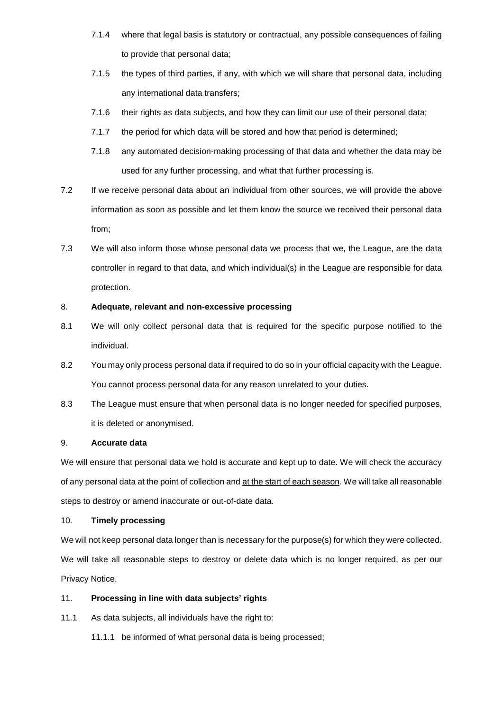- 7.1.4 where that legal basis is statutory or contractual, any possible consequences of failing to provide that personal data;
- 7.1.5 the types of third parties, if any, with which we will share that personal data, including any international data transfers;
- 7.1.6 their rights as data subjects, and how they can limit our use of their personal data;
- 7.1.7 the period for which data will be stored and how that period is determined;
- 7.1.8 any automated decision-making processing of that data and whether the data may be used for any further processing, and what that further processing is.
- 7.2 If we receive personal data about an individual from other sources, we will provide the above information as soon as possible and let them know the source we received their personal data from;
- 7.3 We will also inform those whose personal data we process that we, the League, are the data controller in regard to that data, and which individual(s) in the League are responsible for data protection.

# 8. **Adequate, relevant and non-excessive processing**

- 8.1 We will only collect personal data that is required for the specific purpose notified to the individual.
- 8.2 You may only process personal data if required to do so in your official capacity with the League. You cannot process personal data for any reason unrelated to your duties.
- 8.3 The League must ensure that when personal data is no longer needed for specified purposes, it is deleted or anonymised.

# 9. **Accurate data**

We will ensure that personal data we hold is accurate and kept up to date. We will check the accuracy of any personal data at the point of collection and at the start of each season. We will take all reasonable steps to destroy or amend inaccurate or out-of-date data.

# 10. **Timely processing**

We will not keep personal data longer than is necessary for the purpose(s) for which they were collected. We will take all reasonable steps to destroy or delete data which is no longer required, as per our Privacy Notice.

# 11. **Processing in line with data subjects' rights**

- 11.1 As data subjects, all individuals have the right to:
	- 11.1.1 be informed of what personal data is being processed;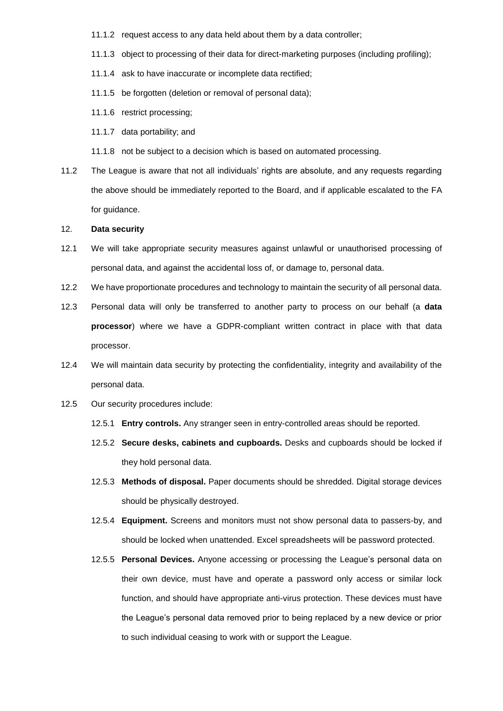- 11.1.2 request access to any data held about them by a data controller;
- 11.1.3 object to processing of their data for direct-marketing purposes (including profiling);
- 11.1.4 ask to have inaccurate or incomplete data rectified;
- 11.1.5 be forgotten (deletion or removal of personal data);
- 11.1.6 restrict processing;
- 11.1.7 data portability; and
- 11.1.8 not be subject to a decision which is based on automated processing.
- 11.2 The League is aware that not all individuals' rights are absolute, and any requests regarding the above should be immediately reported to the Board, and if applicable escalated to the FA for guidance.

#### 12. **Data security**

- 12.1 We will take appropriate security measures against unlawful or unauthorised processing of personal data, and against the accidental loss of, or damage to, personal data.
- 12.2 We have proportionate procedures and technology to maintain the security of all personal data.
- 12.3 Personal data will only be transferred to another party to process on our behalf (a **data processor**) where we have a GDPR-compliant written contract in place with that data processor.
- 12.4 We will maintain data security by protecting the confidentiality, integrity and availability of the personal data.
- 12.5 Our security procedures include:
	- 12.5.1 **Entry controls.** Any stranger seen in entry-controlled areas should be reported.
	- 12.5.2 **Secure desks, cabinets and cupboards.** Desks and cupboards should be locked if they hold personal data.
	- 12.5.3 **Methods of disposal.** Paper documents should be shredded. Digital storage devices should be physically destroyed.
	- 12.5.4 **Equipment.** Screens and monitors must not show personal data to passers-by, and should be locked when unattended. Excel spreadsheets will be password protected.
	- 12.5.5 **Personal Devices.** Anyone accessing or processing the League's personal data on their own device, must have and operate a password only access or similar lock function, and should have appropriate anti-virus protection. These devices must have the League's personal data removed prior to being replaced by a new device or prior to such individual ceasing to work with or support the League.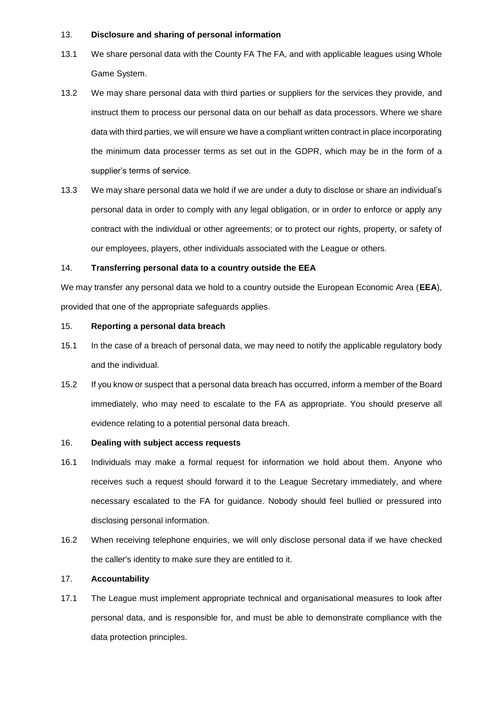#### 13. **Disclosure and sharing of personal information**

- 13.1 We share personal data with the County FA The FA, and with applicable leagues using Whole Game System.
- 13.2 We may share personal data with third parties or suppliers for the services they provide, and instruct them to process our personal data on our behalf as data processors. Where we share data with third parties, we will ensure we have a compliant written contract in place incorporating the minimum data processer terms as set out in the GDPR, which may be in the form of a supplier's terms of service.
- 13.3 We may share personal data we hold if we are under a duty to disclose or share an individual's personal data in order to comply with any legal obligation, or in order to enforce or apply any contract with the individual or other agreements; or to protect our rights, property, or safety of our employees, players, other individuals associated with the League or others.

### 14. **Transferring personal data to a country outside the EEA**

We may transfer any personal data we hold to a country outside the European Economic Area (**EEA**), provided that one of the appropriate safeguards applies.

### 15. **Reporting a personal data breach**

- 15.1 In the case of a breach of personal data, we may need to notify the applicable regulatory body and the individual.
- 15.2 If you know or suspect that a personal data breach has occurred, inform a member of the Board immediately, who may need to escalate to the FA as appropriate. You should preserve all evidence relating to a potential personal data breach.

#### 16. **Dealing with subject access requests**

- 16.1 Individuals may make a formal request for information we hold about them. Anyone who receives such a request should forward it to the League Secretary immediately, and where necessary escalated to the FA for guidance. Nobody should feel bullied or pressured into disclosing personal information.
- 16.2 When receiving telephone enquiries, we will only disclose personal data if we have checked the caller's identity to make sure they are entitled to it.

### 17. **Accountability**

17.1 The League must implement appropriate technical and organisational measures to look after personal data, and is responsible for, and must be able to demonstrate compliance with the data protection principles.